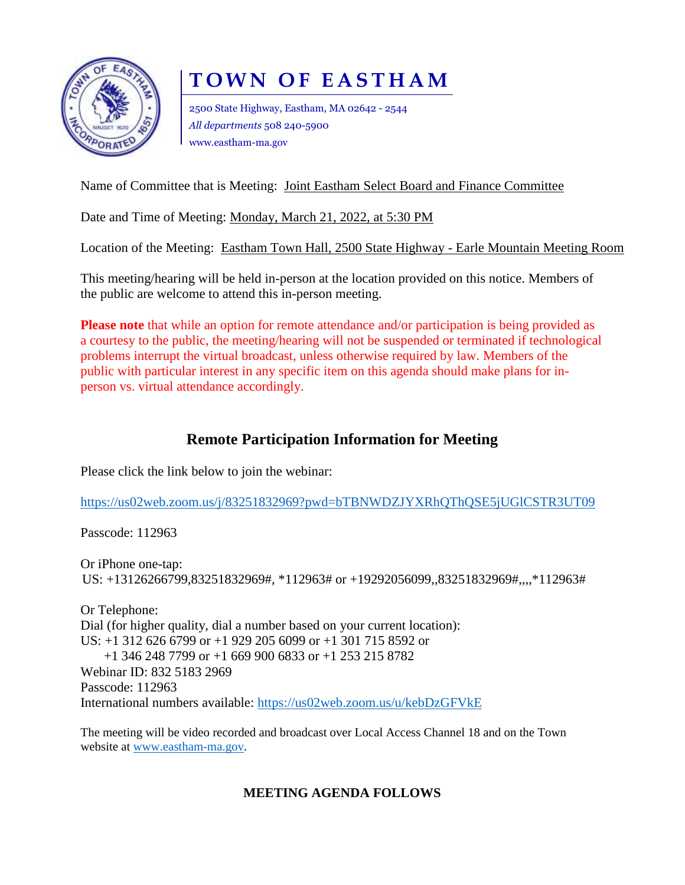

# **T O W N O F E A S T H A M**

2500 State Highway, Eastham, MA 02642 - 2544 *All departments* 508 240-5900 www.eastham-ma.gov

Name of Committee that is Meeting: Joint Eastham Select Board and Finance Committee

Date and Time of Meeting: Monday, March 21, 2022, at 5:30 PM

Location of the Meeting: Eastham Town Hall, 2500 State Highway - Earle Mountain Meeting Room

This meeting/hearing will be held in-person at the location provided on this notice. Members of the public are welcome to attend this in-person meeting.

**Please note** that while an option for remote attendance and/or participation is being provided as a courtesy to the public, the meeting/hearing will not be suspended or terminated if technological problems interrupt the virtual broadcast, unless otherwise required by law. Members of the public with particular interest in any specific item on this agenda should make plans for inperson vs. virtual attendance accordingly.

# **Remote Participation Information for Meeting**

Please click the link below to join the webinar:

<https://us02web.zoom.us/j/83251832969?pwd=bTBNWDZJYXRhQThQSE5jUGlCSTR3UT09>

Passcode: 112963

Or iPhone one-tap: US: +13126266799,83251832969#, \*112963# or +19292056099,,83251832969#,,,,\*112963#

Or Telephone: Dial (for higher quality, dial a number based on your current location): US: +1 312 626 6799 or +1 929 205 6099 or +1 301 715 8592 or +1 346 248 7799 or +1 669 900 6833 or +1 253 215 8782 Webinar ID: 832 5183 2969 Passcode: 112963 International numbers available:<https://us02web.zoom.us/u/kebDzGFVkE>

The meeting will be video recorded and broadcast over Local Access Channel 18 and on the Town website at [www.eastham-ma.gov.](http://www.eastham-ma.gov/)

## **MEETING AGENDA FOLLOWS**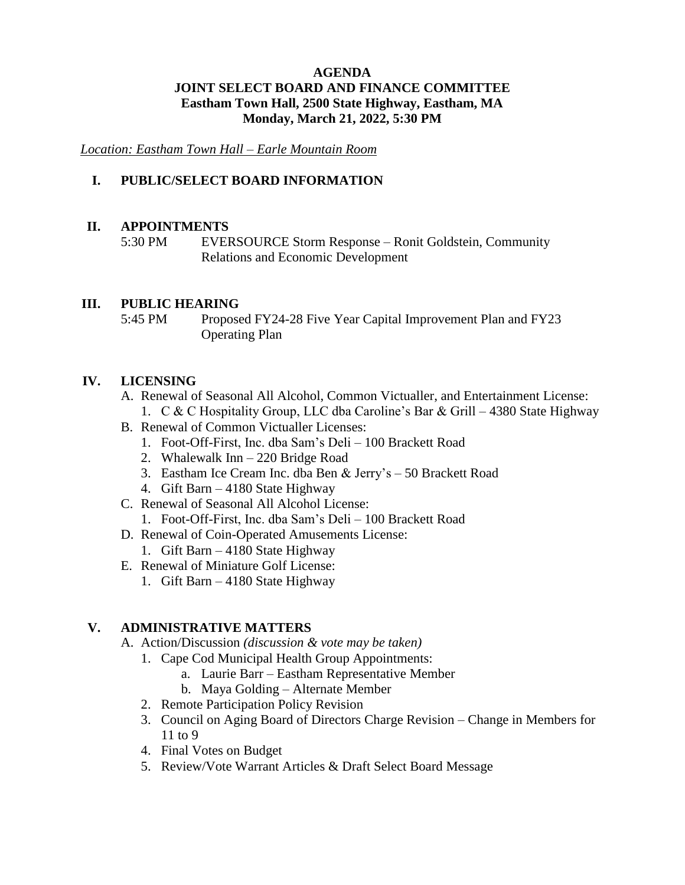## **AGENDA JOINT SELECT BOARD AND FINANCE COMMITTEE Eastham Town Hall, 2500 State Highway, Eastham, MA Monday, March 21, 2022, 5:30 PM**

*Location: Eastham Town Hall – Earle Mountain Room*

## **I. PUBLIC/SELECT BOARD INFORMATION**

## **II. APPOINTMENTS**

5:30 PM EVERSOURCE Storm Response – Ronit Goldstein, Community Relations and Economic Development

## **III. PUBLIC HEARING**

5:45 PM Proposed FY24-28 Five Year Capital Improvement Plan and FY23 Operating Plan

## **IV. LICENSING**

- A. Renewal of Seasonal All Alcohol, Common Victualler, and Entertainment License:
	- 1. C & C Hospitality Group, LLC dba Caroline's Bar & Grill 4380 State Highway
- B. Renewal of Common Victualler Licenses:
	- 1. Foot-Off-First, Inc. dba Sam's Deli 100 Brackett Road
	- 2. Whalewalk Inn 220 Bridge Road
	- 3. Eastham Ice Cream Inc. dba Ben & Jerry's 50 Brackett Road
	- 4. Gift Barn 4180 State Highway
- C. Renewal of Seasonal All Alcohol License:
	- 1. Foot-Off-First, Inc. dba Sam's Deli 100 Brackett Road
- D. Renewal of Coin-Operated Amusements License:
	- 1. Gift Barn 4180 State Highway
- E. Renewal of Miniature Golf License:
	- 1. Gift Barn 4180 State Highway

## **V. ADMINISTRATIVE MATTERS**

- A. Action/Discussion *(discussion & vote may be taken)*
	- 1. Cape Cod Municipal Health Group Appointments:
		- a. Laurie Barr Eastham Representative Member
		- b. Maya Golding Alternate Member
	- 2. Remote Participation Policy Revision
	- 3. Council on Aging Board of Directors Charge Revision Change in Members for 11 to 9
	- 4. Final Votes on Budget
	- 5. Review/Vote Warrant Articles & Draft Select Board Message